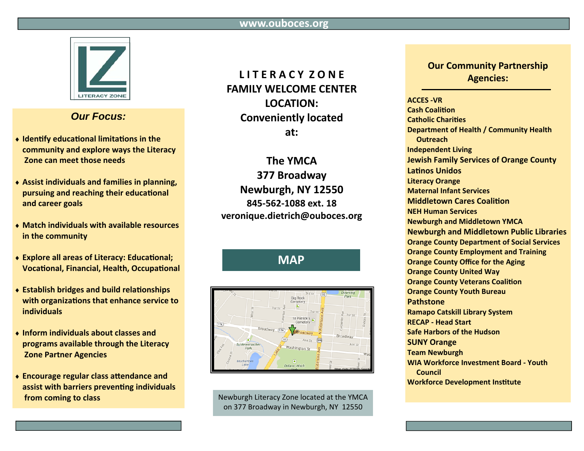

## **Our Focus:**

- Identify educational limitations in the community and explore ways the Literacy Zone can meet those needs
- ◆ Assist individuals and families in planning, pursuing and reaching their educational and career goals
- Match individuals with available resources in the community
- ◆ Explore all areas of Literacy: Educational; **Vocational, Financial, Health, Occupational**
- ◆ Establish bridges and build relationships with organizations that enhance service to *individuals*
- Inform individuals about classes and programs available through the Literacy **Zone Partner Agencies**
- Encourage regular class attendance and assist with barriers preventing individuals from coming to class

## LITERACY ZONE **FAMILY WELCOME CENTER** LOCATION: **Conveniently located**  $at:$

The YMCA 377 Broadway Newburgh, NY 12550 845-562-1088 ext. 18 veronique.dietrich@ouboces.org

# **MAP**



Newburgh Literacy Zone located at the YMCA on 377 Broadway in Newburgh, NY 12550

### **Our Community Partnership Agencies:**

#### **ACCES-VR**

**Cash Coalition Catholic Charities Department of Health / Community Health Outreach Independent Living Jewish Family Services of Orange County Latinos Unidos Literacy Orange Maternal Infant Services Middletown Cares Coalition NEH Human Services Newburgh and Middletown YMCA Newburgh and Middletown Public Libraries Orange County Department of Social Services Orange County Employment and Training Orange County Office for the Aging Orange County United Way Orange County Veterans Coalition Orange County Youth Bureau Pathstone Ramapo Catskill Library System RECAP - Head Start Safe Harbors of the Hudson SUNY Orange Team Newburgh WIA Workforce Investment Board - Youth** Council **Workforce Development Institute**